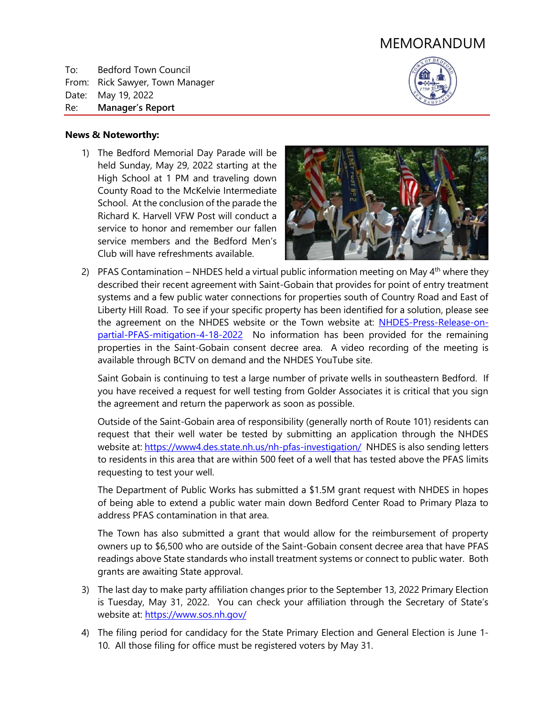# MEMORANDUM

To: Bedford Town Council From: Rick Sawyer, Town Manager Date: May 19, 2022 Re: **Manager's Report**



#### **News & Noteworthy:**

1) The Bedford Memorial Day Parade will be held Sunday, May 29, 2022 starting at the High School at 1 PM and traveling down County Road to the McKelvie Intermediate School. At the conclusion of the parade the Richard K. Harvell VFW Post will conduct a service to honor and remember our fallen service members and the Bedford Men's Club will have refreshments available.



2) PFAS Contamination – NHDES held a virtual public information meeting on May  $4<sup>th</sup>$  where they described their recent agreement with Saint-Gobain that provides for point of entry treatment systems and a few public water connections for properties south of Country Road and East of Liberty Hill Road. To see if your specific property has been identified for a solution, please see the agreement on the NHDES website or the Town website at: [NHDES-Press-Release-on](https://www.bedfordnh.org/DocumentCenter/View/5780/NHDES-Press-Release-on-partial-PFAS-mitigation-4-18-2022)[partial-PFAS-mitigation-4-18-2022](https://www.bedfordnh.org/DocumentCenter/View/5780/NHDES-Press-Release-on-partial-PFAS-mitigation-4-18-2022) No information has been provided for the remaining properties in the Saint-Gobain consent decree area. A video recording of the meeting is available through BCTV on demand and the NHDES YouTube site.

Saint Gobain is continuing to test a large number of private wells in southeastern Bedford. If you have received a request for well testing from Golder Associates it is critical that you sign the agreement and return the paperwork as soon as possible.

Outside of the Saint-Gobain area of responsibility (generally north of Route 101) residents can request that their well water be tested by submitting an application through the NHDES website at: [https://www4.des.state.nh.us/nh-pfas-investigation/](https://www4.des.state.nh.us/nh-pfas-investigation/?page_id=307) NHDES is also sending letters to residents in this area that are within 500 feet of a well that has tested above the PFAS limits requesting to test your well.

The Department of Public Works has submitted a \$1.5M grant request with NHDES in hopes of being able to extend a public water main down Bedford Center Road to Primary Plaza to address PFAS contamination in that area.

The Town has also submitted a grant that would allow for the reimbursement of property owners up to \$6,500 who are outside of the Saint-Gobain consent decree area that have PFAS readings above State standards who install treatment systems or connect to public water. Both grants are awaiting State approval.

- 3) The last day to make party affiliation changes prior to the September 13, 2022 Primary Election is Tuesday, May 31, 2022. You can check your affiliation through the Secretary of State's website at:<https://www.sos.nh.gov/>
- 4) The filing period for candidacy for the State Primary Election and General Election is June 1- 10. All those filing for office must be registered voters by May 31.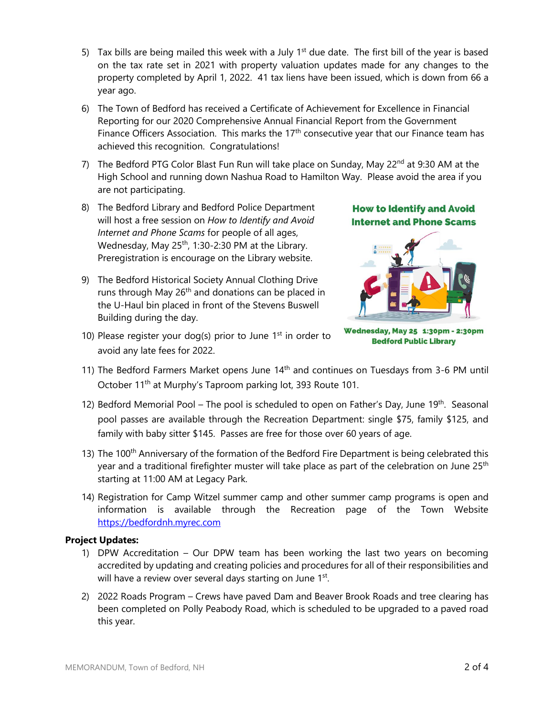- 5) Tax bills are being mailed this week with a July  $1<sup>st</sup>$  due date. The first bill of the year is based on the tax rate set in 2021 with property valuation updates made for any changes to the property completed by April 1, 2022. 41 tax liens have been issued, which is down from 66 a year ago.
- 6) The Town of Bedford has received a Certificate of Achievement for Excellence in Financial Reporting for our 2020 Comprehensive Annual Financial Report from the Government Finance Officers Association. This marks the  $17<sup>th</sup>$  consecutive year that our Finance team has achieved this recognition. Congratulations!
- 7) The Bedford PTG Color Blast Fun Run will take place on Sunday, May 22<sup>nd</sup> at 9:30 AM at the High School and running down Nashua Road to Hamilton Way. Please avoid the area if you are not participating.
- 8) The Bedford Library and Bedford Police Department will host a free session on *How to Identify and Avoid Internet and Phone Scams* for people of all ages, Wednesday, May  $25<sup>th</sup>$ , 1:30-2:30 PM at the Library. Preregistration is encourage on the Library website.
- 9) The Bedford Historical Society Annual Clothing Drive runs through May 26<sup>th</sup> and donations can be placed in the U-Haul bin placed in front of the Stevens Buswell Building during the day.
- 10) Please register your dog(s) prior to June  $1<sup>st</sup>$  in order to avoid any late fees for 2022.

**How to Identify and Avoid Internet and Phone Scams** 



Wednesday, May 25 1:30pm - 2:30pm **Bedford Public Library** 

- 11) The Bedford Farmers Market opens June  $14<sup>th</sup>$  and continues on Tuesdays from 3-6 PM until October 11<sup>th</sup> at Murphy's Taproom parking lot, 393 Route 101.
- 12) Bedford Memorial Pool The pool is scheduled to open on Father's Day, June  $19<sup>th</sup>$ . Seasonal pool passes are available through the Recreation Department: single \$75, family \$125, and family with baby sitter \$145. Passes are free for those over 60 years of age.
- 13) The 100<sup>th</sup> Anniversary of the formation of the Bedford Fire Department is being celebrated this year and a traditional firefighter muster will take place as part of the celebration on June 25<sup>th</sup> starting at 11:00 AM at Legacy Park.
- 14) Registration for Camp Witzel summer camp and other summer camp programs is open and information is available through the Recreation page of the Town Website [https://bedfordnh.myrec.com](https://bedfordnh.myrec.com/info/activities/default.aspx?type=activities)

## **Project Updates:**

- 1) DPW Accreditation Our DPW team has been working the last two years on becoming accredited by updating and creating policies and procedures for all of their responsibilities and will have a review over several days starting on June 1st.
- 2) 2022 Roads Program Crews have paved Dam and Beaver Brook Roads and tree clearing has been completed on Polly Peabody Road, which is scheduled to be upgraded to a paved road this year.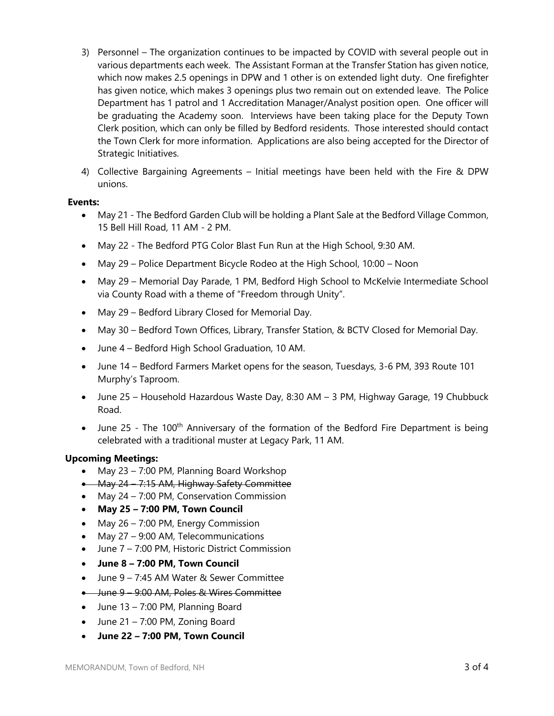- 3) Personnel The organization continues to be impacted by COVID with several people out in various departments each week. The Assistant Forman at the Transfer Station has given notice, which now makes 2.5 openings in DPW and 1 other is on extended light duty. One firefighter has given notice, which makes 3 openings plus two remain out on extended leave. The Police Department has 1 patrol and 1 Accreditation Manager/Analyst position open. One officer will be graduating the Academy soon. Interviews have been taking place for the Deputy Town Clerk position, which can only be filled by Bedford residents. Those interested should contact the Town Clerk for more information. Applications are also being accepted for the Director of Strategic Initiatives.
- 4) Collective Bargaining Agreements Initial meetings have been held with the Fire & DPW unions.

#### **Events:**

- May 21 The Bedford Garden Club will be holding a Plant Sale at the Bedford Village Common, 15 Bell Hill Road, 11 AM - 2 PM.
- May 22 The Bedford PTG Color Blast Fun Run at the High School, 9:30 AM.
- May 29 Police Department Bicycle Rodeo at the High School, 10:00 Noon
- May 29 Memorial Day Parade, 1 PM, Bedford High School to McKelvie Intermediate School via County Road with a theme of "Freedom through Unity".
- May 29 Bedford Library Closed for Memorial Day.
- May 30 Bedford Town Offices, Library, Transfer Station, & BCTV Closed for Memorial Day.
- June 4 Bedford High School Graduation, 10 AM.
- June 14 Bedford Farmers Market opens for the season, Tuesdays, 3-6 PM, 393 Route 101 Murphy's Taproom.
- June 25 Household Hazardous Waste Day, 8:30 AM 3 PM, Highway Garage, 19 Chubbuck Road.
- June 25 The 100<sup>th</sup> Anniversary of the formation of the Bedford Fire Department is being celebrated with a traditional muster at Legacy Park, 11 AM.

## **Upcoming Meetings:**

- May 23 7:00 PM, Planning Board Workshop
- May 24 7:15 AM, Highway Safety Committee
- May 24 7:00 PM, Conservation Commission
- **May 25 – 7:00 PM, Town Council**
- May  $26 7:00$  PM, Energy Commission
- May 27 9:00 AM, Telecommunications
- June 7 7:00 PM, Historic District Commission
- **June 8 – 7:00 PM, Town Council**
- June 9 7:45 AM Water & Sewer Committee
- June 9 9:00 AM, Poles & Wires Committee
- $\bullet$  June 13 7:00 PM, Planning Board
- June 21 7:00 PM, Zoning Board
- **June 22 – 7:00 PM, Town Council**